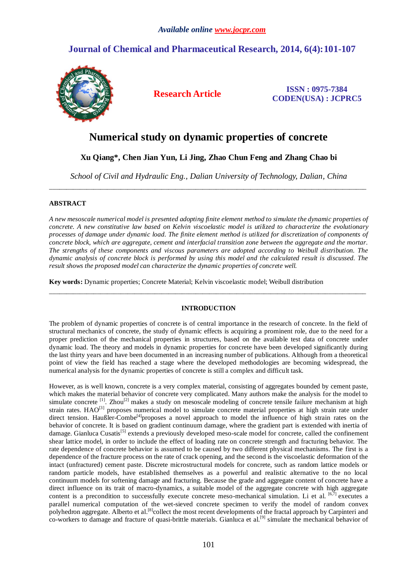# **Journal of Chemical and Pharmaceutical Research, 2014, 6(4):101-107**



**Research Article ISSN : 0975-7384 CODEN(USA) : JCPRC5**

# **Numerical study on dynamic properties of concrete**

**Xu Qiang\*, Chen Jian Yun, Li Jing, Zhao Chun Feng and Zhang Chao bi**

*School of Civil and Hydraulic Eng., Dalian University of Technology, Dalian, China* \_\_\_\_\_\_\_\_\_\_\_\_\_\_\_\_\_\_\_\_\_\_\_\_\_\_\_\_\_\_\_\_\_\_\_\_\_\_\_\_\_\_\_\_\_\_\_\_\_\_\_\_\_\_\_\_\_\_\_\_\_\_\_\_\_\_\_\_\_\_\_\_\_\_\_\_\_\_\_\_\_\_\_\_\_\_\_\_\_\_\_\_\_

## **ABSTRACT**

*A new mesoscale numerical model is presented adopting finite element method to simulate the dynamic properties of concrete. A new constitutive law based on Kelvin viscoelastic model is utilized to charact erize the evolutionary processes of damage under dynamic load. The finite element method is utilized for discretization of components of concrete block, which are aggregate, cement and interfacial transition zone between the aggregate and the mortar. The strengths of these components and viscous parameters are adopted according to Weibull distribution. The dynamic analysis of concrete block is performed by using this model and the calculated result is discussed. The result shows the proposed model can characterize the dynamic properties of concrete well.*

**Key words:** Dynamic properties; Concrete Material; Kelvin viscoelastic model; Weibull distribution

## **INTRODUCTION**

\_\_\_\_\_\_\_\_\_\_\_\_\_\_\_\_\_\_\_\_\_\_\_\_\_\_\_\_\_\_\_\_\_\_\_\_\_\_\_\_\_\_\_\_\_\_\_\_\_\_\_\_\_\_\_\_\_\_\_\_\_\_\_\_\_\_\_\_\_\_\_\_\_\_\_\_\_\_\_\_\_\_\_\_\_\_\_\_\_\_\_\_\_

The problem of dynamic properties of concrete is of central importance in the research of concrete. In the field of structural mechanics of concrete, the study of dynamic effects is acquiring a prominent role, due to the need for a proper prediction of the mechanical properties in structures, based on the available test data of concrete under dynamic load. The theory and models in dynamic properties for concrete have been developed significantly during the last thirty years and have been documented in an increasing number of publications. Although from a theoretical point of view the field has reached a stage where the developed methodologies are becoming widespread, the numerical analysis for the dynamic properties of concrete is still a complex and difficult task.

However, as is well known, concrete is a very complex material, consisting of aggregates bounded by cement paste, which makes the material behavior of concrete very complicated. Many authors make the analysis for the model to simulate concrete <sup>[1]</sup>. Zhou<sup>[2]</sup> makes a study on mesoscale modeling of concrete tensile failure mechanism at high strain rates. HAO<sup>[3]</sup> proposes numerical model to simulate concrete material properties at high strain rate under direct tension. Haußler-Combe<sup>[4]</sup>proposes a novel approach to model the influence of high strain rates on the behavior of concrete. It is based on gradient continuum damage, where the gradient part is extended with inertia of damage. Gianluca Cusatis<sup>[5]</sup> extends a previously developed meso-scale model for concrete, called the confinement shear lattice model, in order to include the effect of loading rate on concrete strength and fracturing behavior. The rate dependence of concrete behavior is assumed to be caused by two different physical mechanisms. The first is a dependence of the fracture process on the rate of crack opening, and the second is the viscoelastic deformation of the intact (unfractured) cement paste. Discrete microstructural models for concrete, such as random lattice models or random particle models, have established themselves as a powerful and realistic alternative to the no local continuum models for softening damage and fracturing. Because the grade and aggregate content of concrete have a direct influence on its trait of macro-dynamics, a suitable model of the aggregate concrete with high aggregate content is a precondition to successfully execute concrete meso-mechanical simulation. Li et al. [6,7] executes a parallel numerical computation of the wet-sieved concrete specimen to verify the model of random convex polyhedron aggregate. Alberto et al.<sup>[8]</sup>collect the most recent developments of the fractal approach by Carpinteri and co-workers to damage and fracture of quasi-brittle materials. Gianluca et al.<sup>[9]</sup> simulate the mechanical behavior of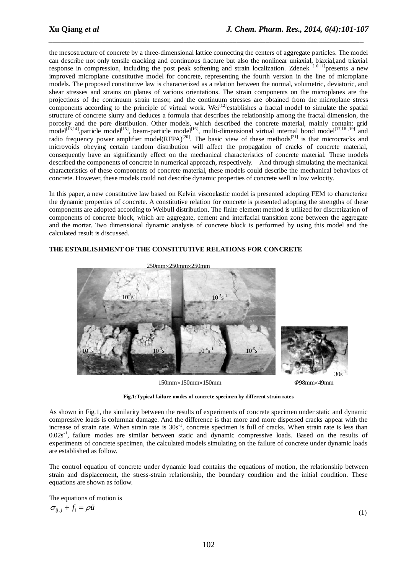the mesostructure of concrete by a three-dimensional lattice connecting the centers of aggregate particles. The model can describe not only tensile cracking and continuous fracture but also the nonlinear uniaxial, biaxial,and triaxial response in compression, including the post peak softening and strain localization. Zdenek <sup>[10,11]</sup>presents a new improved microplane constitutive model for concrete, representing the fourth version in the line of microplane models. The proposed constitutive law is characterized as a relation between the normal, volumetric, deviatoric, and shear stresses and strains on planes of various orientations. The strain components on the microplanes are the projections of the continuum strain tensor, and the continuum stresses are obtained from the microplane stress components according to the principle of virtual work. Wei<sup>[12]</sup>establishes a fractal model to simulate the spatial structure of concrete slurry and deduces a formula that describes the relationship among the fractal dimension, the porosity and the pore distribution. Other models, which described the concrete material, mainly contain: grid model<sup>[13,14]</sup>,particle model<sup>[15]</sup>, beam-particle model<sup>[16]</sup>, multi-dimensional virtual internal bond model<sup>[17,18,19]</sup> and radio frequency power amplifier model(RFPA)<sup>[20]</sup>. The basic view of these methods<sup>[21]</sup> is that microcracks and microvoids obeying certain random distribution will affect the propagation of cracks of concrete material, consequently have an significantly effect on the mechanical characteristics of concrete material. These models described the components of concrete in numerical approach, respectively. And through simulating the mechanical characteristics of these components of concrete material, these models could describe the mechanical behaviors of concrete. However, these models could not describe dynamic properties of concrete well in low velocity.

*\_\_\_\_\_\_\_\_\_\_\_\_\_\_\_\_\_\_\_\_\_\_\_\_\_\_\_\_\_\_\_\_\_\_\_\_\_\_\_\_\_\_\_\_\_\_\_\_\_\_\_\_\_\_\_\_\_\_\_\_\_\_\_\_\_\_\_\_\_\_\_\_\_\_\_\_\_*

In this paper, a new constitutive law based on Kelvin viscoelastic model is presented adopting FEM to characterize the dynamic properties of concrete. A constitutive relation for concrete is presented adopting the strengths of these components are adopted according to Weibull distribution. The finite element method is utilized for discretization of components of concrete block, which are aggregate, cement and interfacial transition zone between the aggregate and the mortar. Two dimensional dynamic analysis of concrete block is performed by using this model and the calculated result is discussed.

# **THE ESTABLISHMENT OF THE CONSTITUTIVE RELATIONS FOR CONCRETE**



150mm150mm150mm *Φ*98mm49mm



**Fig.1:Typical failure modes of concrete specimen by different strain rates**

As shown in Fig.1, the similarity between the results of experiments of concrete specimen under static and dynamic compressive loads is columnar damage. And the difference is that more and more dispersed cracks appear with the increase of strain rate. When strain rate is 30s<sup>-1</sup>, concrete specimen is full of cracks. When strain rate is less than 0.02s<sup>-1</sup>, failure modes are similar between static and dynamic compressive loads. Based on the results of experiments of concrete specimen, the calculated models simulating on the failure of concrete under dynamic loads are established as follow.

The control equation of concrete under dynamic load contains the equations of motion, the relationship between strain and displacement, the stress-strain relationship, the boundary condition and the initial condition. These equations are shown as follow.

The equations of motion is  $\sigma_{ii,i} + f_i = \rho \ddot{u}$ 

(1)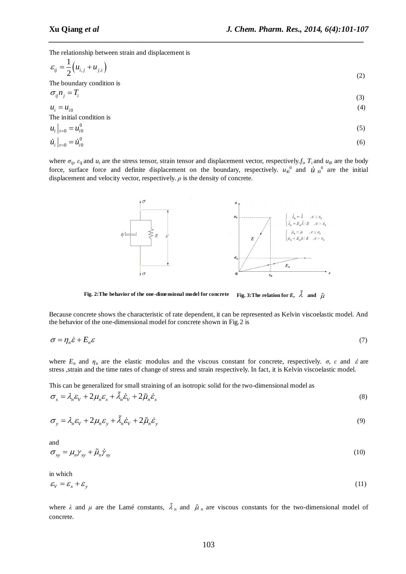The relationship between strain and displacement is

$$
\varepsilon_{ij} = \frac{1}{2} \left( u_{i,j} + u_{j,i} \right) \tag{2}
$$

*\_\_\_\_\_\_\_\_\_\_\_\_\_\_\_\_\_\_\_\_\_\_\_\_\_\_\_\_\_\_\_\_\_\_\_\_\_\_\_\_\_\_\_\_\_\_\_\_\_\_\_\_\_\_\_\_\_\_\_\_\_\_\_\_\_\_\_\_\_\_\_\_\_\_\_\_\_*

The boundary condition is  $\sigma$  *n*  $=T$ 

$$
u_i = u_{i0}
$$
\n
$$
(3)
$$
\n
$$
u_i = u_{i0}
$$
\n
$$
(4)
$$
\nThe initial condition is

$$
u_i|_{t=0} = u_{i0}^0
$$
  
\n
$$
\dot{u}_i|_{t=0} = \dot{u}_{i0}^0
$$
\n(5)

where  $\sigma_{ij}$ ,  $\varepsilon_{ij}$  and  $u_i$  are the stress tensor, strain tensor and displacement vector, respectively,  $f_i$ ,  $T_i$  and  $u_{i0}$  are the body force, surface force and definite displacement on the boundary, respectively.  $u_{\nu}^{0}$  and  $\dot{u}_{\nu}^{0}$  are the initial displacement and velocity vector, respectively. *ρ* is the density of concrete.



**Fig. 2:The behavior of the one-dimensional model for concrete Fig. 3:The relation for** *E***,** and  $\tilde{\mu}$ 

Because concrete shows the characteristic of rate dependent, it can be represented as Kelvin viscoelastic model. And the behavior of the one-dimensional model for concrete shown in Fig.2 is

$$
\sigma = \eta_n \dot{\varepsilon} + E_n \varepsilon \tag{7}
$$

where  $E_n$  and  $\eta_n$  are the elastic modulus and the viscous constant for concrete, respectively.  $\sigma$ ,  $\varepsilon$  and  $\dot{\varepsilon}$  are stress ,strain and the time rates of change of stress and strain respectively. In fact, it is Kelvin viscoelastic model.

This can be generalized for small straining of an isotropic solid for the two-dimensional model as  
\n
$$
\sigma_x = \lambda_n \varepsilon_V + 2\mu_n \varepsilon_x + \tilde{\lambda}_n \dot{\varepsilon}_V + 2\tilde{\mu}_n \dot{\varepsilon}_x
$$
\n(8)

$$
\sigma_y = \lambda_n \varepsilon_V + 2\mu_n \varepsilon_y + \tilde{\lambda}_n \dot{\varepsilon}_V + 2\tilde{\mu}_n \dot{\varepsilon}_y \tag{9}
$$

and

$$
\sigma_{xy} = \mu_n \gamma_{xy} + \tilde{\mu}_n \dot{\gamma}_{xy} \tag{10}
$$

in which

$$
\varepsilon_{\rm V} = \varepsilon_{\rm x} + \varepsilon_{\rm y} \tag{11}
$$

where  $\lambda$  and  $\mu$  are the Lamé constants,  $\lambda_n$  and  $\tilde{\mu}_n$  are viscous constants for the two-dimensional model of concrete.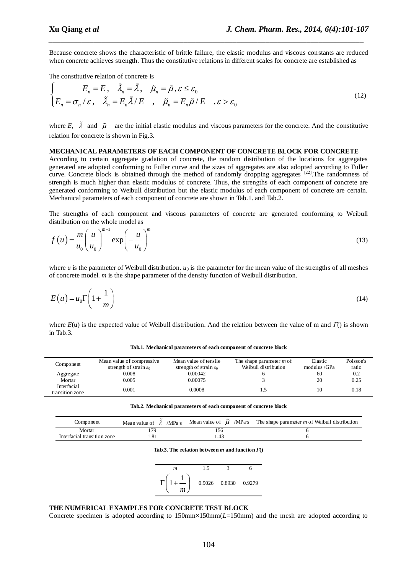Because concrete shows the characteristic of brittle failure, the elastic modulus and viscous constants are reduced when concrete achieves strength. Thus the constitutive relations in different scales for concrete are established as

*\_\_\_\_\_\_\_\_\_\_\_\_\_\_\_\_\_\_\_\_\_\_\_\_\_\_\_\_\_\_\_\_\_\_\_\_\_\_\_\_\_\_\_\_\_\_\_\_\_\_\_\_\_\_\_\_\_\_\_\_\_\_\_\_\_\_\_\_\_\_\_\_\_\_\_\_\_*

The constitutive relation of concrete is

The constitutive relation of concrete is  
\n
$$
\begin{cases}\nE_n = E, & \tilde{\lambda}_n = \tilde{\lambda}, \quad \tilde{\mu}_n = \tilde{\mu}, \varepsilon \le \varepsilon_0 \\
E_n = \sigma_n / \varepsilon, & \tilde{\lambda}_n = E_n \tilde{\lambda} / E \quad , \quad \tilde{\mu}_n = E_n \tilde{\mu} / E \quad , \varepsilon > \varepsilon_0\n\end{cases}
$$
\n(12)

where  $E$ ,  $\lambda$  and  $\tilde{\mu}$  are the initial elastic modulus and viscous parameters for the concrete. And the constitutive relation for concrete is shown in Fig.3.

### **MECHANICAL PARAMETERS OF EACH COMPONENT OF CONCRETE BLOCK FOR CONCRETE**

According to certain aggregate gradation of concrete, the random distribution of the locations for aggregates generated are adopted conforming to Fuller curve and the sizes of aggregates are also adopted according to Fuller curve. Concrete block is obtained through the method of randomly dropping aggregates  $[22]$ . The randomness of strength is much higher than elastic modulus of concrete. Thus, the strengths of each component of concrete are generated conforming to Weibull distribution but the elastic modulus of each component of concrete are certain. Mechanical parameters of each component of concrete are shown i[n Tab.1.](#page-3-0) and Tab.2.

The strengths of each component and viscous parameters of concrete are generated conforming to Weibull distribution on the whole model as  $\bigwedge^{m-1}$ 

$$
f(u) = \frac{m}{u_0} \left(\frac{u}{u_0}\right)^{m-1} \exp\left(-\frac{u}{u_0}\right)^m
$$
\n(13)

where  $u$  is the parameter of Weibull distribution.  $u_0$  is the parameter for the mean value of the strengths of all meshes of concrete model. *m* is the shape parameter of the density function of Weibull distribution.

$$
E(u) = u_0 \Gamma \left( 1 + \frac{1}{m} \right) \tag{14}
$$

where *E*(u) is the expected value of Weibull distribution. And the relation between the value of m and *Γ*() is shown in [Tab.3.](#page-3-1)

<span id="page-3-0"></span>

| Component             | Mean value of compressive<br>strength of strain $\varepsilon_0$ | Mean value of tensile<br>strength of strain $\varepsilon_0$ | The shape parameter $m$ of<br>Weibull distribution | Elastic<br>modulus / GPa | Poisson's<br>ratio |
|-----------------------|-----------------------------------------------------------------|-------------------------------------------------------------|----------------------------------------------------|--------------------------|--------------------|
| Aggregate             | 0.008                                                           | 0.00042                                                     |                                                    | 60                       | 0.2                |
| Mortar<br>Interfacial | 0.005                                                           | 0.00075                                                     |                                                    | 20                       | 0.25               |
| transition zone       | 0.001                                                           | 0.0008                                                      |                                                    |                          | 0.18               |

**Tab.1. Mechanical parameters of each component of concrete block**

**Tab.2. Mechanical parameters of each component of concrete block**

<span id="page-3-1"></span>

| Component                   | Mean value of $\lambda$ /MPa s |     | Mean value of $\mu$ /MPa s The shape parameter m of Weibull distribution |
|-----------------------------|--------------------------------|-----|--------------------------------------------------------------------------|
| Mortar                      |                                | 56ء |                                                                          |
| Interfacial transition zone |                                | .43 |                                                                          |

#### **Tab.3. The relation between** *m* **and function** *Γ***()**



#### **THE NUMERICAL EXAMPLES FOR CONCRETE TEST BLOCK**

Concrete specimen is adopted according to 150mm×150mm(*L*=150mm) and the mesh are adopted according to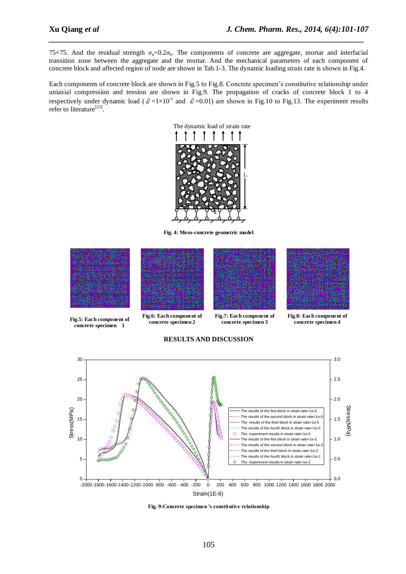75 $\times$ 75. And the residual strength  $\sigma_n=0.2\sigma_0$ . The components of concrete are aggregate, mortar and interfacial transition zone between the aggregate and the mortar. And the mechanical parameters of each component of concrete block and affected region of node are shown in Tab.1-3. The dynamic loading strain rate is shown in Fig.4.

*\_\_\_\_\_\_\_\_\_\_\_\_\_\_\_\_\_\_\_\_\_\_\_\_\_\_\_\_\_\_\_\_\_\_\_\_\_\_\_\_\_\_\_\_\_\_\_\_\_\_\_\_\_\_\_\_\_\_\_\_\_\_\_\_\_\_\_\_\_\_\_\_\_\_\_\_\_*

Each components of concrete block are shown in Fig.5 to Fig.8. Concrete specimen's constitutive relationship under uniaxial compression and tension are shown in Fig.9. The propagation of cracks of concrete block 1 to 4 respectively under dynamic load ( $\dot{\mathcal{E}} = 1 \times 10^{-5}$  and  $\dot{\mathcal{E}} = 0.01$ ) are shown in Fig.10 to Fig.13. The experiment results refer to literature<sup>[23]</sup>.



**Fig. 4: Meso-concrete geometric model**







**Fig. 9:Concrete specimen 's constitutive relationship**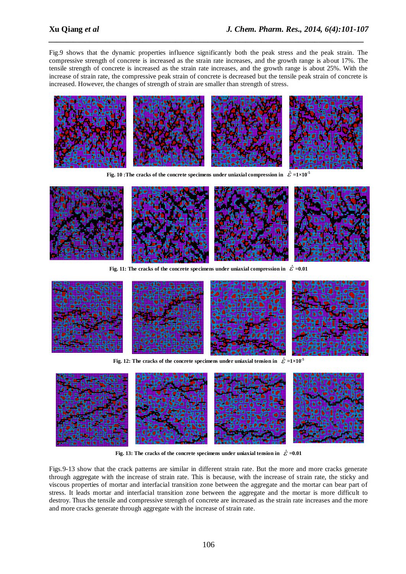Fig.9 shows that the dynamic properties influence significantly both the peak stress and the peak strain. The compressive strength of concrete is increased as the strain rate increases, and the growth range is about 17%. The tensile strength of concrete is increased as the strain rate increases, and the growth range is about 25%. With the increase of strain rate, the compressive peak strain of concrete is decreased but the tensile peak strain of concrete is increased. However, the changes of strength of strain are smaller than strength of stress.

*\_\_\_\_\_\_\_\_\_\_\_\_\_\_\_\_\_\_\_\_\_\_\_\_\_\_\_\_\_\_\_\_\_\_\_\_\_\_\_\_\_\_\_\_\_\_\_\_\_\_\_\_\_\_\_\_\_\_\_\_\_\_\_\_\_\_\_\_\_\_\_\_\_\_\_\_\_*



**Fig. 10** : The cracks of the concrete specimens under uniaxial compression in  $\dot{\mathcal{E}} = 1 \times 10^{-5}$ 



Fig. 11: The cracks of the concrete specimens under uniaxial compression in  $\mathcal{E}$  =0.01



**Fig. 12:** The cracks of the concrete specimens under uniaxial tension in  $\mathcal{E} = 1 \times 10^{-5}$ 



Fig. 13: The cracks of the concrete specimens under uniaxial tension in  $\mathcal{E} = 0.01$ 

Figs.9-13 show that the crack patterns are similar in different strain rate. But the more and more cracks generate through aggregate with the increase of strain rate. This is because, with the increase of strain rate, the sticky and viscous properties of mortar and interfacial transition zone between the aggregate and the mortar can bear part of stress. It leads mortar and interfacial transition zone between the aggregate and the mortar is more difficult to destroy. Thus the tensile and compressive strength of concrete are increased as the strain rate increases and the more and more cracks generate through aggregate with the increase of strain rate.